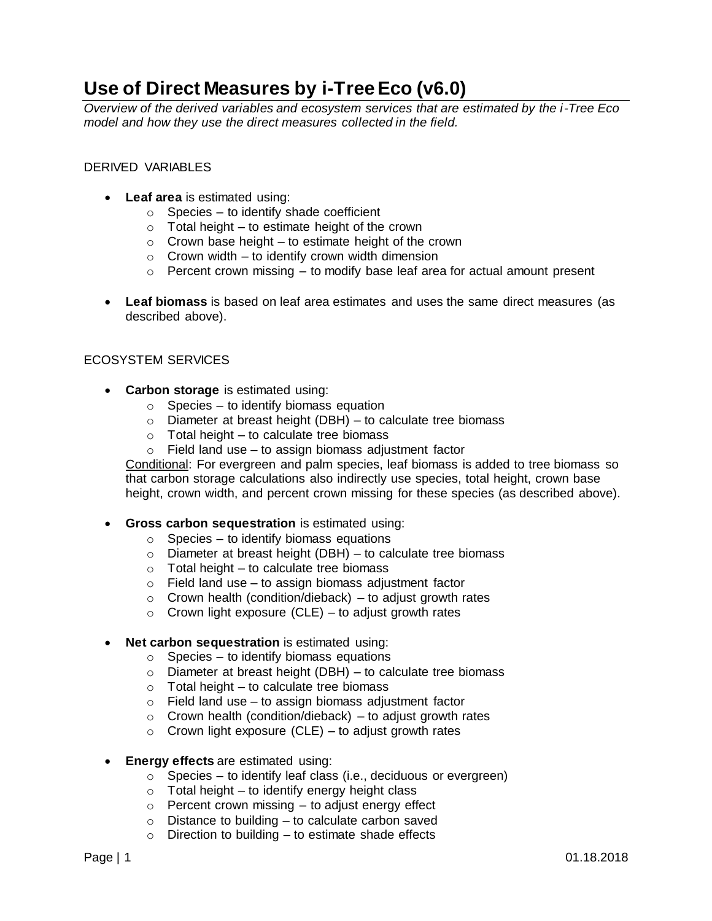## **Use of Direct Measures by i-Tree Eco (v6.0)**

*Overview of the derived variables and ecosystem services that are estimated by the i-Tree Eco model and how they use the direct measures collected in the field.*

## DERIVED VARIABLES

- **Leaf area** is estimated using:
	- $\circ$  Species to identify shade coefficient
	- $\circ$  Total height to estimate height of the crown
	- $\circ$  Crown base height to estimate height of the crown
	- $\circ$  Crown width to identify crown width dimension
	- $\circ$  Percent crown missing to modify base leaf area for actual amount present
- **Leaf biomass** is based on leaf area estimates and uses the same direct measures (as described above).

## ECOSYSTEM SERVICES

- **Carbon storage** is estimated using:
	- $\circ$  Species to identify biomass equation
	- $\circ$  Diameter at breast height (DBH) to calculate tree biomass
	- $\circ$  Total height to calculate tree biomass
	- $\circ$  Field land use to assign biomass adjustment factor

Conditional: For evergreen and palm species, leaf biomass is added to tree biomass so that carbon storage calculations also indirectly use species, total height, crown base height, crown width, and percent crown missing for these species (as described above).

- **Gross carbon sequestration** is estimated using:
	- $\circ$  Species to identify biomass equations
	- $\circ$  Diameter at breast height (DBH) to calculate tree biomass
	- $\circ$  Total height to calculate tree biomass
	- $\circ$  Field land use to assign biomass adjustment factor
	- $\circ$  Crown health (condition/dieback) to adjust growth rates
	- $\circ$  Crown light exposure (CLE) to adjust growth rates
- **Net carbon sequestration** is estimated using:
	- $\circ$  Species to identify biomass equations
	- $\circ$  Diameter at breast height (DBH) to calculate tree biomass
	- $\circ$  Total height to calculate tree biomass
	- $\circ$  Field land use to assign biomass adjustment factor
	- $\circ$  Crown health (condition/dieback) to adjust growth rates
	- $\circ$  Crown light exposure (CLE) to adjust growth rates
- **Energy effects** are estimated using:
	- $\circ$  Species to identify leaf class (i.e., deciduous or evergreen)
	- $\circ$  Total height to identify energy height class
	- $\circ$  Percent crown missing to adjust energy effect
	- $\circ$  Distance to building to calculate carbon saved
	- $\circ$  Direction to building to estimate shade effects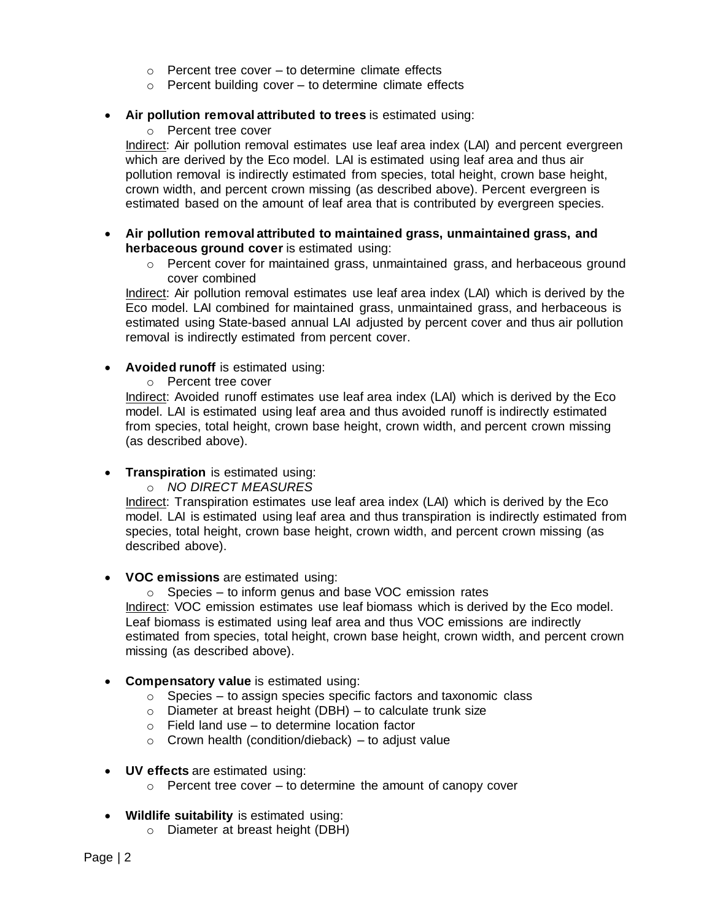- $\circ$  Percent tree cover to determine climate effects
- o Percent building cover to determine climate effects
- **Air pollution removal attributed to trees** is estimated using:
	- o Percent tree cover

Indirect: Air pollution removal estimates use leaf area index (LAI) and percent evergreen which are derived by the Eco model. LAI is estimated using leaf area and thus air pollution removal is indirectly estimated from species, total height, crown base height, crown width, and percent crown missing (as described above). Percent evergreen is estimated based on the amount of leaf area that is contributed by evergreen species.

- **Air pollution removal attributed to maintained grass, unmaintained grass, and herbaceous ground cover** is estimated using:
	- $\circ$  Percent cover for maintained grass, unmaintained grass, and herbaceous ground cover combined

Indirect: Air pollution removal estimates use leaf area index (LAI) which is derived by the Eco model. LAI combined for maintained grass, unmaintained grass, and herbaceous is estimated using State-based annual LAI adjusted by percent cover and thus air pollution removal is indirectly estimated from percent cover.

• **Avoided runoff** is estimated using:

o Percent tree cover

Indirect: Avoided runoff estimates use leaf area index (LAI) which is derived by the Eco model. LAI is estimated using leaf area and thus avoided runoff is indirectly estimated from species, total height, crown base height, crown width, and percent crown missing (as described above).

- **Transpiration** is estimated using:
	- o *NO DIRECT MEASURES*

Indirect: Transpiration estimates use leaf area index (LAI) which is derived by the Eco model. LAI is estimated using leaf area and thus transpiration is indirectly estimated from species, total height, crown base height, crown width, and percent crown missing (as described above).

• **VOC emissions** are estimated using:

 $\circ$  Species – to inform genus and base VOC emission rates Indirect: VOC emission estimates use leaf biomass which is derived by the Eco model. Leaf biomass is estimated using leaf area and thus VOC emissions are indirectly estimated from species, total height, crown base height, crown width, and percent crown missing (as described above).

- **Compensatory value** is estimated using:
	- $\circ$  Species to assign species specific factors and taxonomic class
	- $\circ$  Diameter at breast height (DBH) to calculate trunk size
	- o Field land use to determine location factor
	- $\circ$  Crown health (condition/dieback) to adjust value
- **UV effects** are estimated using:
	- $\circ$  Percent tree cover to determine the amount of canopy cover
- **Wildlife suitability** is estimated using:
	- o Diameter at breast height (DBH)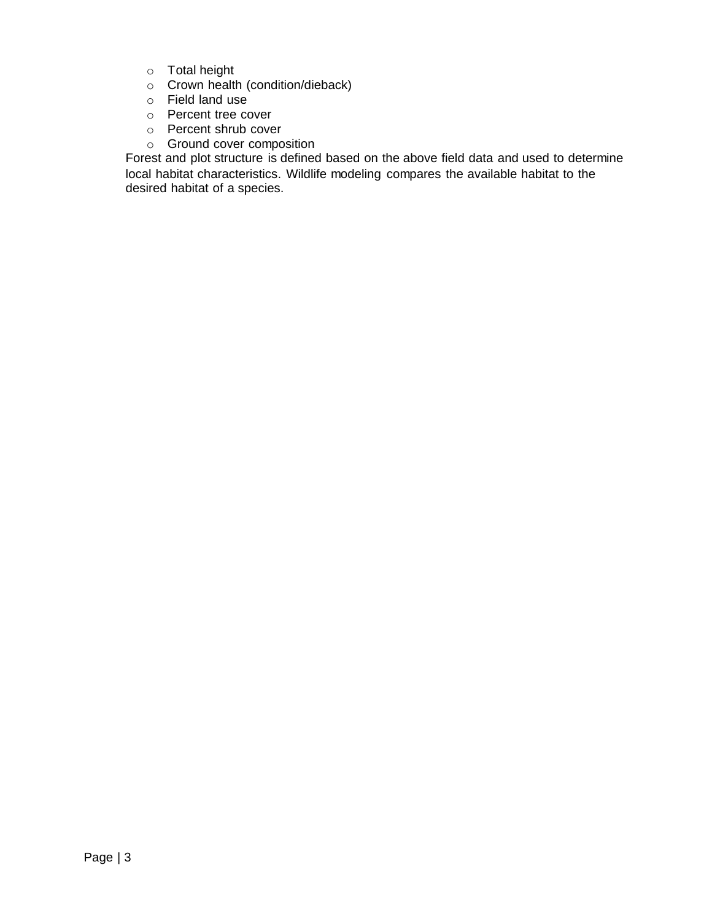- o Total height
- o Crown health (condition/dieback)
- o Field land use
- o Percent tree cover
- o Percent shrub cover
- o Ground cover composition

Forest and plot structure is defined based on the above field data and used to determine local habitat characteristics. Wildlife modeling compares the available habitat to the desired habitat of a species.